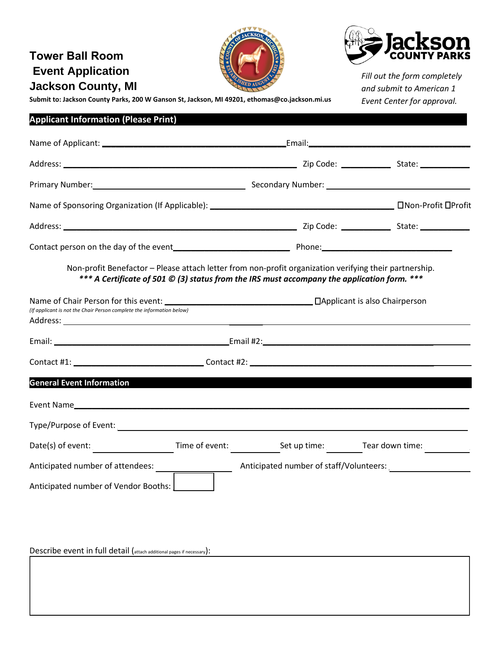| <b>Tower Ball Room</b><br><b>Event Application</b><br><b>Jackson County, MI</b><br>Submit to: Jackson County Parks, 200 W Ganson St, Jackson, MI 49201, ethomas@co.jackson.mi.us<br><b>Applicant Information (Please Print)</b> |                       |                                                                                             | Fill out the form completely<br>and submit to American 1<br>Event Center for approval. |
|---------------------------------------------------------------------------------------------------------------------------------------------------------------------------------------------------------------------------------|-----------------------|---------------------------------------------------------------------------------------------|----------------------------------------------------------------------------------------|
|                                                                                                                                                                                                                                 |                       |                                                                                             |                                                                                        |
|                                                                                                                                                                                                                                 |                       |                                                                                             |                                                                                        |
| Primary Number: 1990 March 2010 March 2010 Secondary Number: 2020 March 2010 March 2020 March 2020 March 2020                                                                                                                   |                       |                                                                                             |                                                                                        |
|                                                                                                                                                                                                                                 |                       |                                                                                             |                                                                                        |
|                                                                                                                                                                                                                                 |                       |                                                                                             |                                                                                        |
|                                                                                                                                                                                                                                 |                       |                                                                                             |                                                                                        |
| Non-profit Benefactor - Please attach letter from non-profit organization verifying their partnership.<br>(If applicant is not the Chair Person complete the information below)                                                 |                       | *** A Certificate of 501 © (3) status from the IRS must accompany the application form. *** |                                                                                        |
|                                                                                                                                                                                                                                 |                       |                                                                                             |                                                                                        |
|                                                                                                                                                                                                                                 |                       |                                                                                             |                                                                                        |
| <b>General Event Information</b>                                                                                                                                                                                                |                       |                                                                                             |                                                                                        |
|                                                                                                                                                                                                                                 |                       |                                                                                             |                                                                                        |
|                                                                                                                                                                                                                                 |                       |                                                                                             |                                                                                        |
| Date(s) of event:                                                                                                                                                                                                               | Time of event:        | Set up time: Tear down time:                                                                |                                                                                        |
| Anticipated number of attendees:                                                                                                                                                                                                | <u>______________</u> |                                                                                             | Anticipated number of staff/Volunteers:                                                |
| Anticipated number of Vendor Booths:                                                                                                                                                                                            |                       |                                                                                             |                                                                                        |

Describe event in full detail (attach additional pages if necessary):